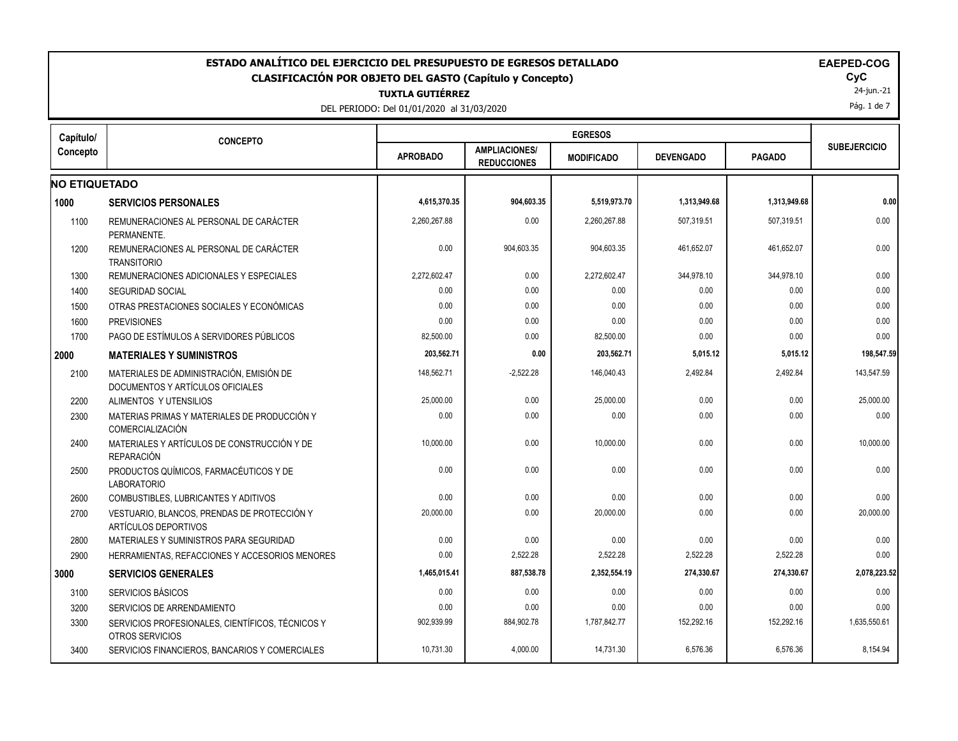| ESTADO ANALÍTICO DEL EJERCICIO DEL PRESUPUESTO DE EGRESOS DETALLADO<br><b>EAEPED-COG</b><br><b>CLASIFICACIÓN POR OBJETO DEL GASTO (Capítulo y Concepto)</b><br><b>TUXTLA GUTIÉRREZ</b><br>DEL PERIODO: Del 01/01/2020 al 31/03/2020 |                                                                              |                 |                                            |                   |                  |               |                     |  |
|-------------------------------------------------------------------------------------------------------------------------------------------------------------------------------------------------------------------------------------|------------------------------------------------------------------------------|-----------------|--------------------------------------------|-------------------|------------------|---------------|---------------------|--|
| Capítulo/                                                                                                                                                                                                                           | <b>CONCEPTO</b>                                                              |                 |                                            | <b>EGRESOS</b>    |                  |               |                     |  |
| Concepto                                                                                                                                                                                                                            |                                                                              | <b>APROBADO</b> | <b>AMPLIACIONES/</b><br><b>REDUCCIONES</b> | <b>MODIFICADO</b> | <b>DEVENGADO</b> | <b>PAGADO</b> | <b>SUBEJERCICIO</b> |  |
| <b>NO ETIQUETADO</b>                                                                                                                                                                                                                |                                                                              |                 |                                            |                   |                  |               |                     |  |
| 1000                                                                                                                                                                                                                                | <b>SERVICIOS PERSONALES</b>                                                  | 4,615,370.35    | 904,603.35                                 | 5,519,973.70      | 1,313,949.68     | 1,313,949.68  | 0.00                |  |
| 1100                                                                                                                                                                                                                                | REMUNERACIONES AL PERSONAL DE CARÁCTER<br>PERMANENTE.                        | 2,260,267.88    | 0.00                                       | 2,260,267.88      | 507,319.51       | 507,319.51    | 0.00                |  |
| 1200                                                                                                                                                                                                                                | REMUNERACIONES AL PERSONAL DE CARÁCTER<br><b>TRANSITORIO</b>                 | 0.00            | 904,603.35                                 | 904,603.35        | 461,652.07       | 461,652.07    | 0.00                |  |
| 1300                                                                                                                                                                                                                                | REMUNERACIONES ADICIONALES Y ESPECIALES                                      | 2,272,602.47    | 0.00                                       | 2,272,602.47      | 344,978.10       | 344,978.10    | 0.00                |  |
| 1400                                                                                                                                                                                                                                | <b>SEGURIDAD SOCIAL</b>                                                      | 0.00            | 0.00                                       | 0.00              | 0.00             | 0.00          | 0.00                |  |
| 1500                                                                                                                                                                                                                                | OTRAS PRESTACIONES SOCIALES Y ECONÓMICAS                                     | 0.00            | 0.00                                       | 0.00              | 0.00             | 0.00          | 0.00                |  |
| 1600                                                                                                                                                                                                                                | <b>PREVISIONES</b>                                                           | 0.00            | 0.00                                       | 0.00              | 0.00             | 0.00          | 0.00                |  |
| 1700                                                                                                                                                                                                                                | PAGO DE ESTÍMULOS A SERVIDORES PÚBLICOS                                      | 82,500.00       | 0.00                                       | 82,500.00         | 0.00             | 0.00          | 0.00                |  |
| 2000                                                                                                                                                                                                                                | <b>MATERIALES Y SUMINISTROS</b>                                              | 203,562.71      | 0.00                                       | 203,562.71        | 5,015.12         | 5,015.12      | 198,547.59          |  |
| 2100                                                                                                                                                                                                                                | MATERIALES DE ADMINISTRACIÓN, EMISIÓN DE<br>DOCUMENTOS Y ARTÍCULOS OFICIALES | 148.562.71      | $-2,522.28$                                | 146.040.43        | 2,492.84         | 2,492.84      | 143.547.59          |  |
| 2200                                                                                                                                                                                                                                | ALIMENTOS Y UTENSILIOS                                                       | 25,000.00       | 0.00                                       | 25,000.00         | 0.00             | 0.00          | 25,000.00           |  |
| 2300                                                                                                                                                                                                                                | MATERIAS PRIMAS Y MATERIALES DE PRODUCCIÓN Y<br>COMERCIALIZACIÓN             | 0.00            | 0.00                                       | 0.00              | 0.00             | 0.00          | 0.00                |  |
| 2400                                                                                                                                                                                                                                | MATERIALES Y ARTÍCULOS DE CONSTRUCCIÓN Y DE<br><b>REPARACIÓN</b>             | 10,000.00       | 0.00                                       | 10,000.00         | 0.00             | 0.00          | 10,000.00           |  |
| 2500                                                                                                                                                                                                                                | PRODUCTOS QUÍMICOS, FARMACÉUTICOS Y DE<br><b>LABORATORIO</b>                 | 0.00            | 0.00                                       | 0.00              | 0.00             | 0.00          | 0.00                |  |
| 2600                                                                                                                                                                                                                                | COMBUSTIBLES, LUBRICANTES Y ADITIVOS                                         | 0.00            | 0.00                                       | 0.00              | 0.00             | 0.00          | 0.00                |  |
| 2700                                                                                                                                                                                                                                | VESTUARIO, BLANCOS, PRENDAS DE PROTECCIÓN Y<br>ARTÍCULOS DEPORTIVOS          | 20,000.00       | 0.00                                       | 20,000.00         | 0.00             | 0.00          | 20,000.00           |  |
| 2800                                                                                                                                                                                                                                | MATERIALES Y SUMINISTROS PARA SEGURIDAD                                      | 0.00            | 0.00                                       | 0.00              | 0.00             | 0.00          | 0.00                |  |
| 2900                                                                                                                                                                                                                                | HERRAMIENTAS, REFACCIONES Y ACCESORIOS MENORES                               | 0.00            | 2,522.28                                   | 2,522.28          | 2,522.28         | 2,522.28      | 0.00                |  |
| 3000                                                                                                                                                                                                                                | <b>SERVICIOS GENERALES</b>                                                   | 1,465,015.41    | 887,538.78                                 | 2,352,554.19      | 274,330.67       | 274,330.67    | 2,078,223.52        |  |
| 3100                                                                                                                                                                                                                                | <b>SERVICIOS BÁSICOS</b>                                                     | 0.00            | 0.00                                       | 0.00              | 0.00             | 0.00          | 0.00                |  |
| 3200                                                                                                                                                                                                                                | SERVICIOS DE ARRENDAMIENTO                                                   | 0.00            | 0.00                                       | 0.00              | 0.00             | 0.00          | 0.00                |  |
| 3300                                                                                                                                                                                                                                | SERVICIOS PROFESIONALES, CIENTÍFICOS, TÉCNICOS Y<br>OTROS SERVICIOS          | 902,939.99      | 884,902.78                                 | 1,787,842.77      | 152,292.16       | 152,292.16    | 1,635,550.61        |  |
| 3400                                                                                                                                                                                                                                | SERVICIOS FINANCIEROS, BANCARIOS Y COMERCIALES                               | 10,731.30       | 4.000.00                                   | 14.731.30         | 6.576.36         | 6.576.36      | 8,154.94            |  |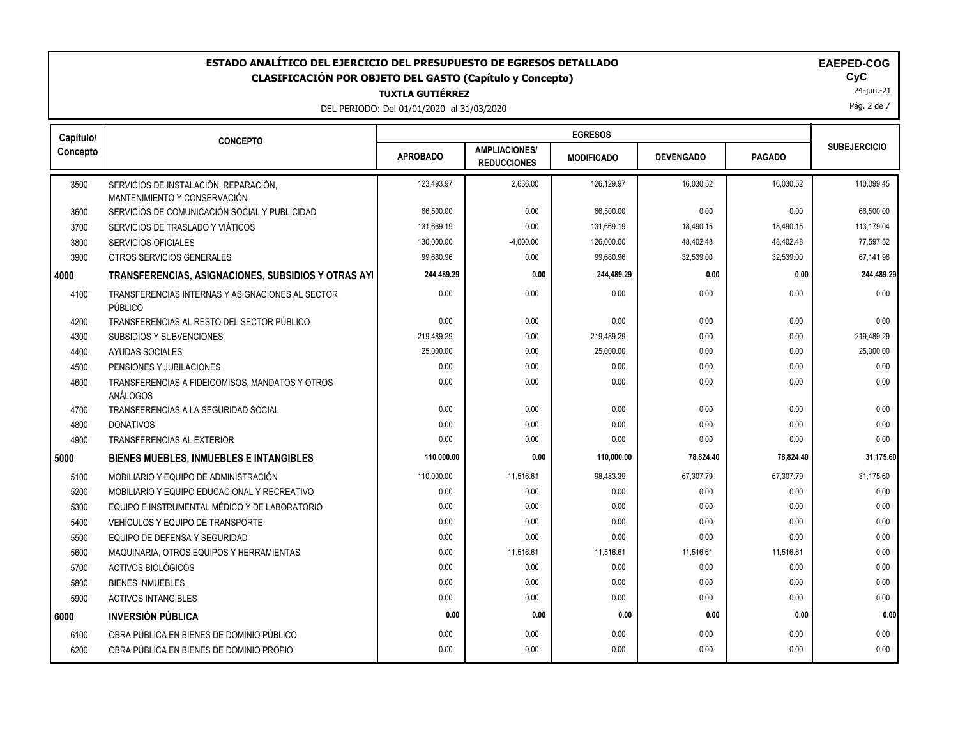#### **TUXTLA GUTIÉRREZ** ESTADO ANALÍTICO DEL EJERCICIO DEL PRESUPUESTO DE EGRESOS DETALLADO<br>CLASIFICACIÓN POR OBJETO DEL GASTO (Capítulo y Concepto) **ELAGO**COGO EL GOGO DEL GASTO (Capítulo y Concepto) **CLASIFICACIÓN POR OBJETO DEL GASTO (Capítulo y Concepto) CyC**

DEL PERIODO: Del 01/01/2020 al 31/03/2020

24-jun.-21

Pág. 2 de 7

| Capítulo/ | <b>CONCEPTO</b>                                             | <b>EGRESOS</b>  |                                            |                   |                  |               |                     |
|-----------|-------------------------------------------------------------|-----------------|--------------------------------------------|-------------------|------------------|---------------|---------------------|
| Concepto  |                                                             | <b>APROBADO</b> | <b>AMPLIACIONES/</b><br><b>REDUCCIONES</b> | <b>MODIFICADO</b> | <b>DEVENGADO</b> | <b>PAGADO</b> | <b>SUBEJERCICIO</b> |
| 3500      | SERVICIOS DE INSTALACIÓN, REPARACIÓN,                       | 123,493.97      | 2,636.00                                   | 126,129.97        | 16,030.52        | 16,030.52     | 110,099.45          |
|           | MANTENIMIENTO Y CONSERVACIÓN                                |                 |                                            |                   |                  |               |                     |
| 3600      | SERVICIOS DE COMUNICACIÓN SOCIAL Y PUBLICIDAD               | 66,500.00       | 0.00                                       | 66,500.00         | 0.00             | 0.00          | 66,500.00           |
| 3700      | SERVICIOS DE TRASLADO Y VIÁTICOS                            | 131,669.19      | 0.00                                       | 131,669.19        | 18,490.15        | 18,490.15     | 113,179.04          |
| 3800      | SERVICIOS OFICIALES                                         | 130,000.00      | $-4,000.00$                                | 126,000.00        | 48,402.48        | 48,402.48     | 77,597.52           |
| 3900      | OTROS SERVICIOS GENERALES                                   | 99,680.96       | 0.00                                       | 99,680.96         | 32,539.00        | 32,539.00     | 67,141.96           |
| 4000      | TRANSFERENCIAS, ASIGNACIONES, SUBSIDIOS Y OTRAS AYI         | 244,489.29      | 0.00                                       | 244,489.29        | 0.00             | 0.00          | 244,489.29          |
| 4100      | TRANSFERENCIAS INTERNAS Y ASIGNACIONES AL SECTOR<br>PÚBLICO | 0.00            | 0.00                                       | 0.00              | 0.00             | 0.00          | 0.00                |
| 4200      | TRANSFERENCIAS AL RESTO DEL SECTOR PÚBLICO                  | 0.00            | 0.00                                       | 0.00              | 0.00             | 0.00          | 0.00                |
| 4300      | <b>SUBSIDIOS Y SUBVENCIONES</b>                             | 219,489.29      | 0.00                                       | 219,489.29        | 0.00             | 0.00          | 219,489.29          |
| 4400      | AYUDAS SOCIALES                                             | 25,000.00       | 0.00                                       | 25.000.00         | 0.00             | 0.00          | 25,000.00           |
| 4500      | PENSIONES Y JUBILACIONES                                    | 0.00            | 0.00                                       | 0.00              | 0.00             | 0.00          | 0.00                |
| 4600      | TRANSFERENCIAS A FIDEICOMISOS, MANDATOS Y OTROS<br>ANÁLOGOS | 0.00            | 0.00                                       | 0.00              | 0.00             | 0.00          | 0.00                |
| 4700      | TRANSFERENCIAS A LA SEGURIDAD SOCIAL                        | 0.00            | 0.00                                       | 0.00              | 0.00             | 0.00          | 0.00                |
| 4800      | <b>DONATIVOS</b>                                            | 0.00            | 0.00                                       | 0.00              | 0.00             | 0.00          | 0.00                |
| 4900      | <b>TRANSFERENCIAS AL EXTERIOR</b>                           | 0.00            | 0.00                                       | 0.00              | 0.00             | 0.00          | 0.00                |
| 5000      | <b>BIENES MUEBLES, INMUEBLES E INTANGIBLES</b>              | 110,000.00      | 0.00                                       | 110,000.00        | 78,824.40        | 78,824.40     | 31,175.60           |
| 5100      | MOBILIARIO Y EQUIPO DE ADMINISTRACIÓN                       | 110,000.00      | $-11,516.61$                               | 98,483.39         | 67,307.79        | 67,307.79     | 31,175.60           |
| 5200      | MOBILIARIO Y EQUIPO EDUCACIONAL Y RECREATIVO                | 0.00            | 0.00                                       | 0.00              | 0.00             | 0.00          | 0.00                |
| 5300      | EQUIPO E INSTRUMENTAL MÉDICO Y DE LABORATORIO               | 0.00            | 0.00                                       | 0.00              | 0.00             | 0.00          | 0.00                |
| 5400      | VEHÍCULOS Y EQUIPO DE TRANSPORTE                            | 0.00            | 0.00                                       | 0.00              | 0.00             | 0.00          | 0.00                |
| 5500      | EQUIPO DE DEFENSA Y SEGURIDAD                               | 0.00            | 0.00                                       | 0.00              | 0.00             | 0.00          | 0.00                |
| 5600      | MAQUINARIA, OTROS EQUIPOS Y HERRAMIENTAS                    | 0.00            | 11,516.61                                  | 11,516.61         | 11,516.61        | 11,516.61     | 0.00                |
| 5700      | ACTIVOS BIOLÓGICOS                                          | 0.00            | 0.00                                       | 0.00              | 0.00             | 0.00          | 0.00                |
| 5800      | <b>BIENES INMUEBLES</b>                                     | 0.00            | 0.00                                       | 0.00              | 0.00             | 0.00          | 0.00                |
| 5900      | <b>ACTIVOS INTANGIBLES</b>                                  | 0.00            | 0.00                                       | 0.00              | 0.00             | 0.00          | 0.00                |
| 6000      | <b>INVERSIÓN PÚBLICA</b>                                    | 0.00            | 0.00                                       | 0.00              | 0.00             | 0.00          | 0.00                |
| 6100      | OBRA PÚBLICA EN BIENES DE DOMINIO PÚBLICO                   | 0.00            | 0.00                                       | 0.00              | 0.00             | 0.00          | 0.00                |
| 6200      | OBRA PÚBLICA EN BIENES DE DOMINIO PROPIO                    | 0.00            | 0.00                                       | 0.00              | 0.00             | 0.00          | 0.00                |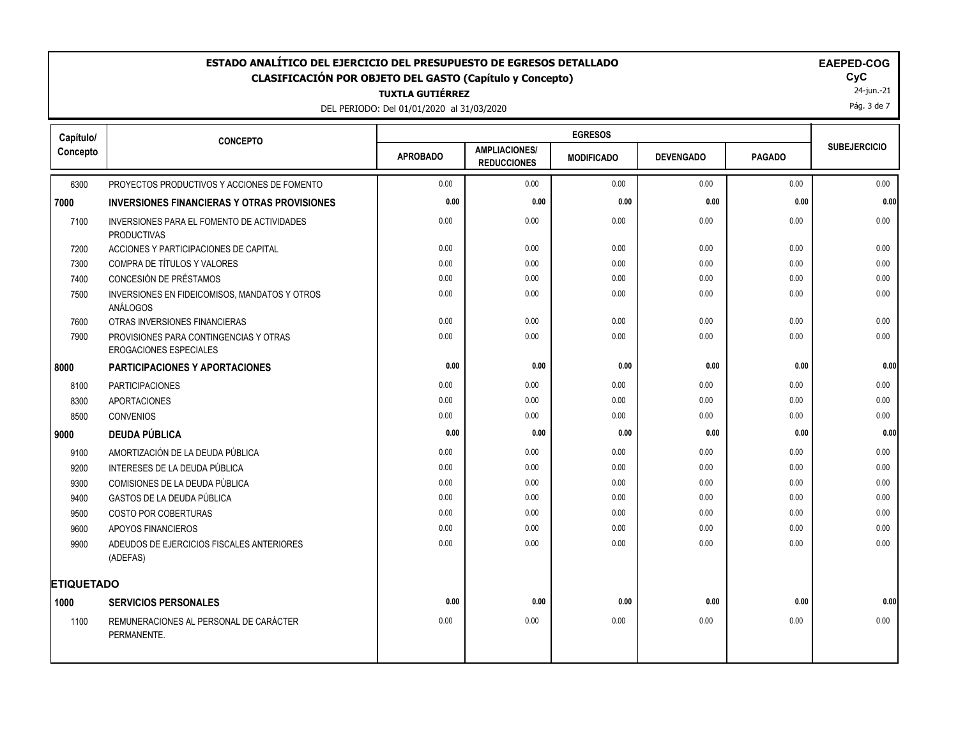# ESTADO ANALÍTICO DEL EJERCICIO DEL PRESUPUESTO DE EGRESOS DETALLADO<br>CLASIFICACIÓN POR OBJETO DEL GASTO (Capítulo y Concepto) **EXACIGADO DE EGRESOS DE EL ESTADO ANALÍTICO** DE EQC **CLASIFICACIÓN POR OBJETO DEL GASTO (Capítulo y Concepto) CyC**

**TUXTLA GUTIÉRREZ**

DEL PERIODO: Del 01/01/2020 al 31/03/2020

| <b>EAEPED-COG</b> |  |
|-------------------|--|
|-------------------|--|

24-jun.-21 Pág. 3 de 7

| Capítulo/         | <b>CONCEPTO</b>                                                         |                 |                                            | <b>EGRESOS</b>    |                  |               |                     |
|-------------------|-------------------------------------------------------------------------|-----------------|--------------------------------------------|-------------------|------------------|---------------|---------------------|
| Concepto          |                                                                         | <b>APROBADO</b> | <b>AMPLIACIONES/</b><br><b>REDUCCIONES</b> | <b>MODIFICADO</b> | <b>DEVENGADO</b> | <b>PAGADO</b> | <b>SUBEJERCICIO</b> |
| 6300              | PROYECTOS PRODUCTIVOS Y ACCIONES DE FOMENTO                             | 0.00            | 0.00                                       | 0.00              | 0.00             | 0.00          | 0.00                |
| 7000              | <b>INVERSIONES FINANCIERAS Y OTRAS PROVISIONES</b>                      | 0.00            | 0.00                                       | 0.00              | 0.00             | 0.00          | 0.00                |
| 7100              | INVERSIONES PARA EL FOMENTO DE ACTIVIDADES<br><b>PRODUCTIVAS</b>        | 0.00            | 0.00                                       | 0.00              | 0.00             | 0.00          | 0.00                |
| 7200              | ACCIONES Y PARTICIPACIONES DE CAPITAL                                   | 0.00            | 0.00                                       | 0.00              | 0.00             | 0.00          | 0.00                |
| 7300              | COMPRA DE TÍTULOS Y VALORES                                             | 0.00            | 0.00                                       | 0.00              | 0.00             | 0.00          | 0.00                |
| 7400              | CONCESIÓN DE PRÉSTAMOS                                                  | 0.00            | 0.00                                       | 0.00              | 0.00             | 0.00          | 0.00                |
| 7500              | INVERSIONES EN FIDEICOMISOS, MANDATOS Y OTROS<br>ANÁLOGOS               | 0.00            | 0.00                                       | 0.00              | 0.00             | 0.00          | 0.00                |
| 7600              | OTRAS INVERSIONES FINANCIERAS                                           | 0.00            | 0.00                                       | 0.00              | 0.00             | 0.00          | 0.00                |
| 7900              | PROVISIONES PARA CONTINGENCIAS Y OTRAS<br><b>EROGACIONES ESPECIALES</b> | 0.00            | 0.00                                       | 0.00              | 0.00             | 0.00          | 0.00                |
| 8000              | <b>PARTICIPACIONES Y APORTACIONES</b>                                   | 0.00            | 0.00                                       | 0.00              | 0.00             | 0.00          | 0.00                |
| 8100              | <b>PARTICIPACIONES</b>                                                  | 0.00            | 0.00                                       | 0.00              | 0.00             | 0.00          | 0.00                |
| 8300              | <b>APORTACIONES</b>                                                     | 0.00            | 0.00                                       | 0.00              | 0.00             | 0.00          | 0.00                |
| 8500              | <b>CONVENIOS</b>                                                        | 0.00            | 0.00                                       | 0.00              | 0.00             | 0.00          | 0.00                |
| 9000              | <b>DEUDA PÚBLICA</b>                                                    | 0.00            | 0.00                                       | 0.00              | 0.00             | 0.00          | 0.00                |
| 9100              | AMORTIZACIÓN DE LA DEUDA PÚBLICA                                        | 0.00            | 0.00                                       | 0.00              | 0.00             | 0.00          | 0.00                |
| 9200              | INTERESES DE LA DEUDA PÚBLICA                                           | 0.00            | 0.00                                       | 0.00              | 0.00             | 0.00          | 0.00                |
| 9300              | COMISIONES DE LA DEUDA PÚBLICA                                          | 0.00            | 0.00                                       | 0.00              | 0.00             | 0.00          | 0.00                |
| 9400              | <b>GASTOS DE LA DEUDA PÚBLICA</b>                                       | 0.00            | 0.00                                       | 0.00              | 0.00             | 0.00          | 0.00                |
| 9500              | <b>COSTO POR COBERTURAS</b>                                             | 0.00            | 0.00                                       | 0.00              | 0.00             | 0.00          | 0.00                |
| 9600              | <b>APOYOS FINANCIEROS</b>                                               | 0.00            | 0.00                                       | 0.00              | 0.00             | 0.00          | 0.00                |
| 9900              | ADEUDOS DE EJERCICIOS FISCALES ANTERIORES<br>(ADEFAS)                   | 0.00            | 0.00                                       | 0.00              | 0.00             | 0.00          | 0.00                |
| <b>ETIQUETADO</b> |                                                                         |                 |                                            |                   |                  |               |                     |
| 1000              | <b>SERVICIOS PERSONALES</b>                                             | 0.00            | 0.00                                       | 0.00              | 0.00             | 0.00          | 0.00                |
| 1100              | REMUNERACIONES AL PERSONAL DE CARÁCTER<br>PERMANENTE.                   | 0.00            | 0.00                                       | 0.00              | 0.00             | 0.00          | 0.00                |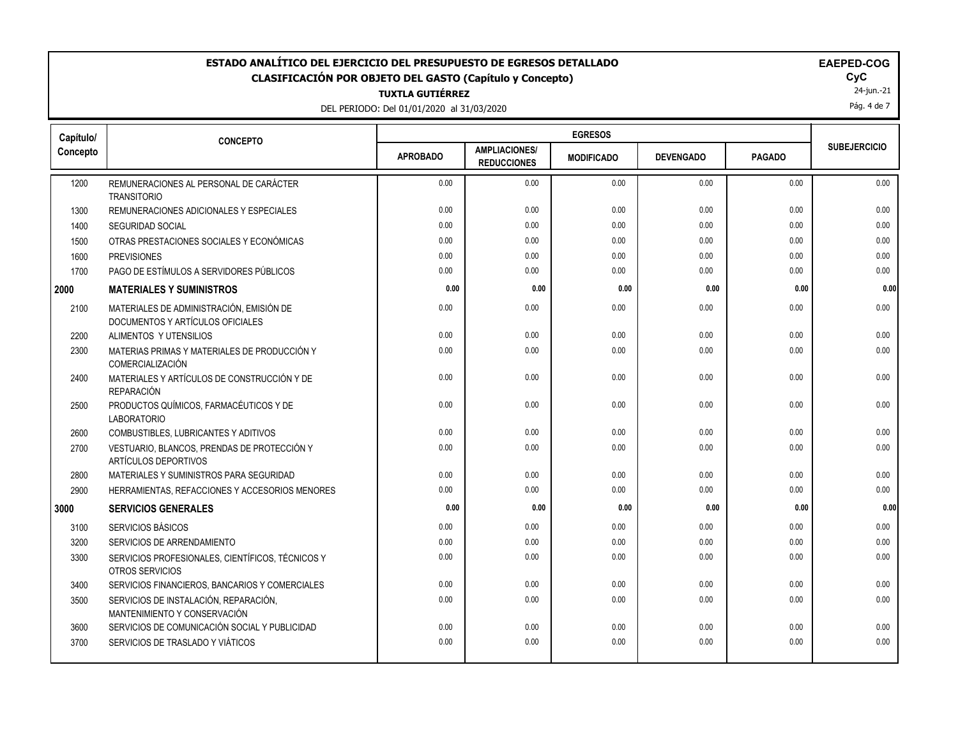## **ESTADO ANALÍTICO DEL EJERCICIO DEL PRESUPUESTO DE EGRESOS DETALLADO EAEPED-COG CLASIFICACIÓN POR OBJETO DEL GASTO (Capítulo y Concepto) CyC**

**TUXTLA GUTIÉRREZ**

DEL PERIODO: Del 01/01/2020 al 31/03/2020

| <b>AEPED-COG</b> |
|------------------|
|------------------|

24-jun.-21

Pág. 4 de 7

| Capítulo/ | <b>CONCEPTO</b>                                                              |                 |                                            | <b>EGRESOS</b>    |                  |               |                     |
|-----------|------------------------------------------------------------------------------|-----------------|--------------------------------------------|-------------------|------------------|---------------|---------------------|
| Concepto  |                                                                              | <b>APROBADO</b> | <b>AMPLIACIONES/</b><br><b>REDUCCIONES</b> | <b>MODIFICADO</b> | <b>DEVENGADO</b> | <b>PAGADO</b> | <b>SUBEJERCICIO</b> |
| 1200      | REMUNERACIONES AL PERSONAL DE CARÁCTER<br><b>TRANSITORIO</b>                 | 0.00            | 0.00                                       | 0.00              | 0.00             | 0.00          | 0.00                |
| 1300      | REMUNERACIONES ADICIONALES Y ESPECIALES                                      | 0.00            | 0.00                                       | 0.00              | 0.00             | 0.00          | 0.00                |
| 1400      | <b>SEGURIDAD SOCIAL</b>                                                      | 0.00            | 0.00                                       | 0.00              | 0.00             | 0.00          | 0.00                |
| 1500      | OTRAS PRESTACIONES SOCIALES Y ECONÓMICAS                                     | 0.00            | 0.00                                       | 0.00              | 0.00             | 0.00          | 0.00                |
| 1600      | <b>PREVISIONES</b>                                                           | 0.00            | 0.00                                       | 0.00              | 0.00             | 0.00          | 0.00                |
| 1700      | PAGO DE ESTÍMULOS A SERVIDORES PÚBLICOS                                      | 0.00            | 0.00                                       | 0.00              | 0.00             | 0.00          | 0.00                |
| 2000      | <b>MATERIALES Y SUMINISTROS</b>                                              | 0.00            | 0.00                                       | 0.00              | 0.00             | 0.00          | 0.00                |
| 2100      | MATERIALES DE ADMINISTRACIÓN, EMISIÓN DE<br>DOCUMENTOS Y ARTÍCULOS OFICIALES | 0.00            | 0.00                                       | 0.00              | 0.00             | 0.00          | 0.00                |
| 2200      | ALIMENTOS Y UTENSILIOS                                                       | 0.00            | 0.00                                       | 0.00              | 0.00             | 0.00          | 0.00                |
| 2300      | MATERIAS PRIMAS Y MATERIALES DE PRODUCCIÓN Y<br>COMERCIALIZACIÓN             | 0.00            | 0.00                                       | 0.00              | 0.00             | 0.00          | 0.00                |
| 2400      | MATERIALES Y ARTÍCULOS DE CONSTRUCCIÓN Y DE<br>REPARACIÓN                    | 0.00            | 0.00                                       | 0.00              | 0.00             | 0.00          | 0.00                |
| 2500      | PRODUCTOS QUÍMICOS, FARMACÉUTICOS Y DE<br><b>LABORATORIO</b>                 | 0.00            | 0.00                                       | 0.00              | 0.00             | 0.00          | 0.00                |
| 2600      | COMBUSTIBLES, LUBRICANTES Y ADITIVOS                                         | 0.00            | 0.00                                       | 0.00              | 0.00             | 0.00          | 0.00                |
| 2700      | VESTUARIO, BLANCOS, PRENDAS DE PROTECCIÓN Y<br>ARTÍCULOS DEPORTIVOS          | 0.00            | 0.00                                       | 0.00              | 0.00             | 0.00          | 0.00                |
| 2800      | MATERIALES Y SUMINISTROS PARA SEGURIDAD                                      | 0.00            | 0.00                                       | 0.00              | 0.00             | 0.00          | 0.00                |
| 2900      | HERRAMIENTAS, REFACCIONES Y ACCESORIOS MENORES                               | 0.00            | 0.00                                       | 0.00              | 0.00             | 0.00          | 0.00                |
| 3000      | <b>SERVICIOS GENERALES</b>                                                   | 0.00            | 0.00                                       | 0.00              | 0.00             | 0.00          | 0.00                |
| 3100      | SERVICIOS BÁSICOS                                                            | 0.00            | 0.00                                       | 0.00              | 0.00             | 0.00          | 0.00                |
| 3200      | SERVICIOS DE ARRENDAMIENTO                                                   | 0.00            | 0.00                                       | 0.00              | 0.00             | 0.00          | 0.00                |
| 3300      | SERVICIOS PROFESIONALES, CIENTÍFICOS, TÉCNICOS Y<br><b>OTROS SERVICIOS</b>   | 0.00            | 0.00                                       | 0.00              | 0.00             | 0.00          | 0.00                |
| 3400      | SERVICIOS FINANCIEROS, BANCARIOS Y COMERCIALES                               | 0.00            | 0.00                                       | 0.00              | 0.00             | 0.00          | 0.00                |
| 3500      | SERVICIOS DE INSTALACIÓN, REPARACIÓN,<br>MANTENIMIENTO Y CONSERVACIÓN        | 0.00            | 0.00                                       | 0.00              | 0.00             | 0.00          | 0.00                |
| 3600      | SERVICIOS DE COMUNICACIÓN SOCIAL Y PUBLICIDAD                                | 0.00            | 0.00                                       | 0.00              | 0.00             | 0.00          | 0.00                |
| 3700      | SERVICIOS DE TRASLADO Y VIÁTICOS                                             | 0.00            | 0.00                                       | 0.00              | 0.00             | 0.00          | 0.00                |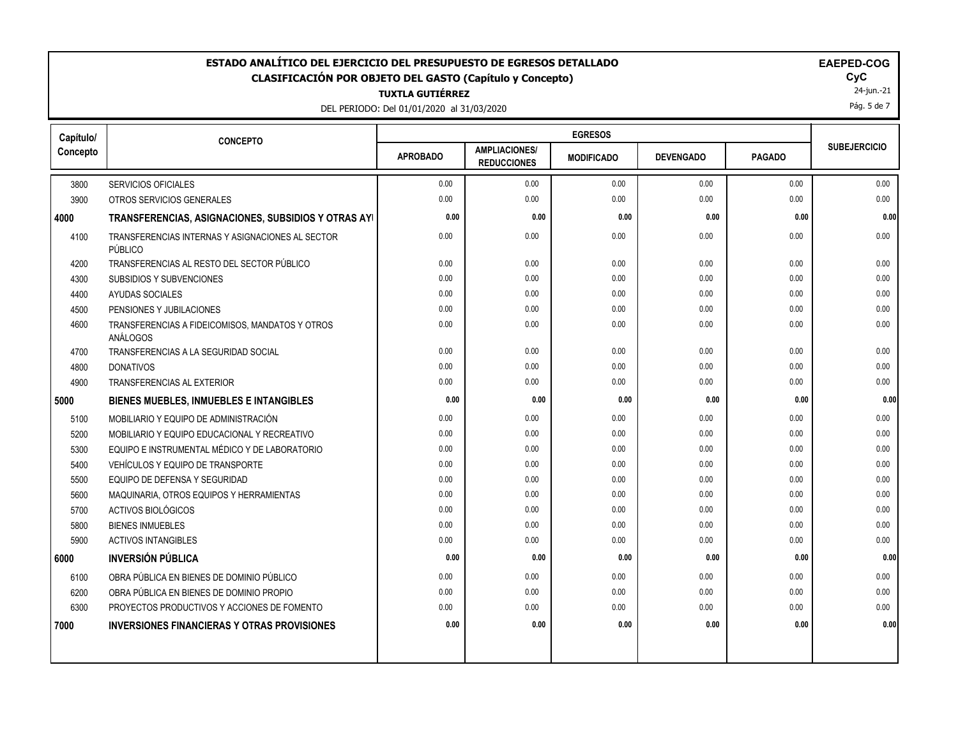#### ESTADO ANALÍTICO DEL EJERCICIO DEL PRESUPUESTO DE EGRESOS DETALLADO<br>CLASIFICACIÓN POR OBJETO DEL GASTO (Capítulo y Concepto) **EAEPED-COGASIFICACIÓN POR OBJETO DEL GASTO** (Capítulo y Concepto) **CLASIFICACIÓN POR OBJETO DEL GASTO (Capítulo y Concepto) CyC**

**TUXTLA GUTIÉRREZ**

DEL PERIODO: Del 01/01/2020 al 31/03/2020

|  | <b>EAEPED-COG</b> |
|--|-------------------|
|--|-------------------|

24-jun.-21

Pág. 5 de 7

| Capítulo/ | <b>CONCEPTO</b>                                             |                 |                                            | <b>EGRESOS</b>    |                  |               |                     |
|-----------|-------------------------------------------------------------|-----------------|--------------------------------------------|-------------------|------------------|---------------|---------------------|
| Concepto  |                                                             | <b>APROBADO</b> | <b>AMPLIACIONES/</b><br><b>REDUCCIONES</b> | <b>MODIFICADO</b> | <b>DEVENGADO</b> | <b>PAGADO</b> | <b>SUBEJERCICIO</b> |
| 3800      | <b>SERVICIOS OFICIALES</b>                                  | 0.00            | 0.00                                       | 0.00              | 0.00             | 0.00          | 0.00                |
| 3900      | OTROS SERVICIOS GENERALES                                   | 0.00            | 0.00                                       | 0.00              | 0.00             | 0.00          | 0.00                |
| 4000      | TRANSFERENCIAS, ASIGNACIONES, SUBSIDIOS Y OTRAS AYI         | 0.00            | 0.00                                       | 0.00              | 0.00             | 0.00          | 0.00                |
| 4100      | TRANSFERENCIAS INTERNAS Y ASIGNACIONES AL SECTOR<br>PÚBLICO | 0.00            | 0.00                                       | 0.00              | 0.00             | 0.00          | 0.00                |
| 4200      | TRANSFERENCIAS AL RESTO DEL SECTOR PÚBLICO                  | 0.00            | 0.00                                       | 0.00              | 0.00             | 0.00          | 0.00                |
| 4300      | SUBSIDIOS Y SUBVENCIONES                                    | 0.00            | 0.00                                       | 0.00              | 0.00             | 0.00          | 0.00                |
| 4400      | AYUDAS SOCIALES                                             | 0.00            | 0.00                                       | 0.00              | 0.00             | 0.00          | 0.00                |
| 4500      | PENSIONES Y JUBILACIONES                                    | 0.00            | 0.00                                       | 0.00              | 0.00             | 0.00          | 0.00                |
| 4600      | TRANSFERENCIAS A FIDEICOMISOS, MANDATOS Y OTROS<br>ANÁLOGOS | 0.00            | 0.00                                       | 0.00              | 0.00             | 0.00          | 0.00                |
| 4700      | TRANSFERENCIAS A LA SEGURIDAD SOCIAL                        | 0.00            | 0.00                                       | 0.00              | 0.00             | 0.00          | 0.00                |
| 4800      | <b>DONATIVOS</b>                                            | 0.00            | 0.00                                       | 0.00              | 0.00             | 0.00          | 0.00                |
| 4900      | <b>TRANSFERENCIAS AL EXTERIOR</b>                           | 0.00            | 0.00                                       | 0.00              | 0.00             | 0.00          | 0.00                |
| 5000      | <b>BIENES MUEBLES, INMUEBLES E INTANGIBLES</b>              | 0.00            | 0.00                                       | 0.00              | 0.00             | 0.00          | 0.00                |
| 5100      | MOBILIARIO Y EQUIPO DE ADMINISTRACIÓN                       | 0.00            | 0.00                                       | 0.00              | 0.00             | 0.00          | 0.00                |
| 5200      | MOBILIARIO Y EQUIPO EDUCACIONAL Y RECREATIVO                | 0.00            | 0.00                                       | 0.00              | 0.00             | 0.00          | 0.00                |
| 5300      | EQUIPO E INSTRUMENTAL MÉDICO Y DE LABORATORIO               | 0.00            | 0.00                                       | 0.00              | 0.00             | 0.00          | 0.00                |
| 5400      | VEHÍCULOS Y EQUIPO DE TRANSPORTE                            | 0.00            | 0.00                                       | 0.00              | 0.00             | 0.00          | 0.00                |
| 5500      | EQUIPO DE DEFENSA Y SEGURIDAD                               | 0.00            | 0.00                                       | 0.00              | 0.00             | 0.00          | 0.00                |
| 5600      | MAQUINARIA, OTROS EQUIPOS Y HERRAMIENTAS                    | 0.00            | 0.00                                       | 0.00              | 0.00             | 0.00          | 0.00                |
| 5700      | ACTIVOS BIOLÓGICOS                                          | 0.00            | 0.00                                       | 0.00              | 0.00             | 0.00          | 0.00                |
| 5800      | <b>BIENES INMUEBLES</b>                                     | 0.00            | 0.00                                       | 0.00              | 0.00             | 0.00          | 0.00                |
| 5900      | <b>ACTIVOS INTANGIBLES</b>                                  | 0.00            | 0.00                                       | 0.00              | 0.00             | 0.00          | 0.00                |
| 6000      | <b>INVERSIÓN PÚBLICA</b>                                    | 0.00            | 0.00                                       | 0.00              | 0.00             | 0.00          | 0.00                |
| 6100      | OBRA PÚBLICA EN BIENES DE DOMINIO PÚBLICO                   | 0.00            | 0.00                                       | 0.00              | 0.00             | 0.00          | 0.00                |
| 6200      | OBRA PÚBLICA EN BIENES DE DOMINIO PROPIO                    | 0.00            | 0.00                                       | 0.00              | 0.00             | 0.00          | 0.00                |
| 6300      | PROYECTOS PRODUCTIVOS Y ACCIONES DE FOMENTO                 | 0.00            | 0.00                                       | 0.00              | 0.00             | 0.00          | 0.00                |
| 7000      | <b>INVERSIONES FINANCIERAS Y OTRAS PROVISIONES</b>          | 0.00            | 0.00                                       | 0.00              | 0.00             | 0.00          | 0.00                |
|           |                                                             |                 |                                            |                   |                  |               |                     |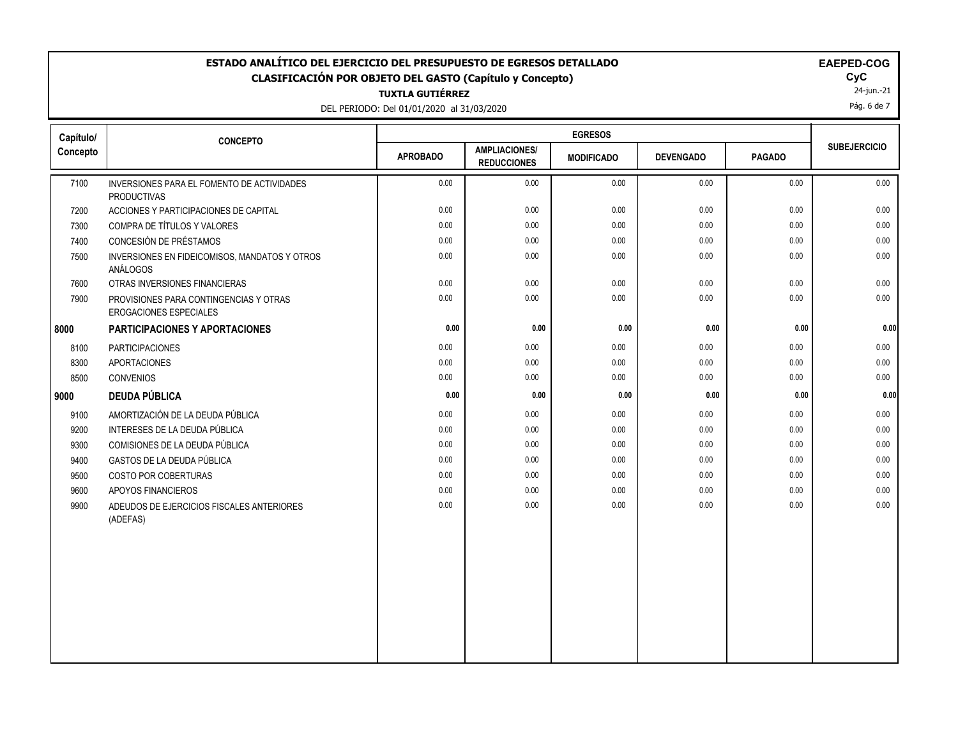## **ESTADO ANALÍTICO DEL EJERCICIO DEL PRESUPUESTO DE EGRESOS DETALLADO EAEPED-COG CLASIFICACIÓN POR OBJETO DEL GASTO (Capítulo y Concepto) CyC**

**TUXTLA GUTIÉRREZ**

DEL PERIODO: Del 01/01/2020 al 31/03/2020

|  | <b>EAEPED-COC</b> |  |
|--|-------------------|--|
|  |                   |  |

 $\mathsf{Cyc}$ <br>24-jun.-21

Pág. 6 de 7

| Capítulo/ | <b>CONCEPTO</b>                                                  |                 |                                            | <b>EGRESOS</b>    |                  |               |                     |
|-----------|------------------------------------------------------------------|-----------------|--------------------------------------------|-------------------|------------------|---------------|---------------------|
| Concepto  |                                                                  | <b>APROBADO</b> | <b>AMPLIACIONES/</b><br><b>REDUCCIONES</b> | <b>MODIFICADO</b> | <b>DEVENGADO</b> | <b>PAGADO</b> | <b>SUBEJERCICIO</b> |
| 7100      | INVERSIONES PARA EL FOMENTO DE ACTIVIDADES<br><b>PRODUCTIVAS</b> | 0.00            | 0.00                                       | 0.00              | 0.00             | 0.00          | 0.00                |
| 7200      | ACCIONES Y PARTICIPACIONES DE CAPITAL                            | 0.00            | 0.00                                       | 0.00              | 0.00             | 0.00          | 0.00                |
| 7300      | COMPRA DE TÍTULOS Y VALORES                                      | 0.00            | 0.00                                       | 0.00              | 0.00             | 0.00          | 0.00                |
| 7400      | CONCESIÓN DE PRÉSTAMOS                                           | 0.00            | 0.00                                       | 0.00              | 0.00             | 0.00          | 0.00                |
| 7500      | INVERSIONES EN FIDEICOMISOS, MANDATOS Y OTROS<br>ANÁLOGOS        | 0.00            | 0.00                                       | 0.00              | 0.00             | 0.00          | 0.00                |
| 7600      | OTRAS INVERSIONES FINANCIERAS                                    | 0.00            | 0.00                                       | 0.00              | 0.00             | 0.00          | 0.00                |
| 7900      | PROVISIONES PARA CONTINGENCIAS Y OTRAS<br>EROGACIONES ESPECIALES | 0.00            | 0.00                                       | 0.00              | 0.00             | 0.00          | 0.00                |
| 8000      | PARTICIPACIONES Y APORTACIONES                                   | 0.00            | 0.00                                       | 0.00              | 0.00             | 0.00          | 0.00                |
| 8100      | <b>PARTICIPACIONES</b>                                           | 0.00            | 0.00                                       | 0.00              | 0.00             | 0.00          | 0.00                |
| 8300      | <b>APORTACIONES</b>                                              | 0.00            | 0.00                                       | 0.00              | 0.00             | 0.00          | 0.00                |
| 8500      | CONVENIOS                                                        | 0.00            | 0.00                                       | 0.00              | 0.00             | 0.00          | 0.00                |
| 9000      | <b>DEUDA PÚBLICA</b>                                             | 0.00            | 0.00                                       | 0.00              | 0.00             | 0.00          | 0.00                |
| 9100      | AMORTIZACIÓN DE LA DEUDA PÚBLICA                                 | 0.00            | 0.00                                       | 0.00              | 0.00             | 0.00          | 0.00                |
| 9200      | INTERESES DE LA DEUDA PÚBLICA                                    | 0.00            | 0.00                                       | 0.00              | 0.00             | 0.00          | 0.00                |
| 9300      | COMISIONES DE LA DEUDA PÚBLICA                                   | 0.00            | 0.00                                       | 0.00              | 0.00             | 0.00          | 0.00                |
| 9400      | GASTOS DE LA DEUDA PÚBLICA                                       | 0.00            | 0.00                                       | 0.00              | 0.00             | 0.00          | 0.00                |
| 9500      | COSTO POR COBERTURAS                                             | 0.00            | 0.00                                       | 0.00              | 0.00             | 0.00          | 0.00                |
| 9600      | APOYOS FINANCIEROS                                               | 0.00            | 0.00                                       | 0.00              | 0.00             | 0.00          | 0.00                |
| 9900      | ADEUDOS DE EJERCICIOS FISCALES ANTERIORES<br>(ADEFAS)            | 0.00            | 0.00                                       | 0.00              | 0.00             | 0.00          | 0.00                |
|           |                                                                  |                 |                                            |                   |                  |               |                     |
|           |                                                                  |                 |                                            |                   |                  |               |                     |
|           |                                                                  |                 |                                            |                   |                  |               |                     |
|           |                                                                  |                 |                                            |                   |                  |               |                     |